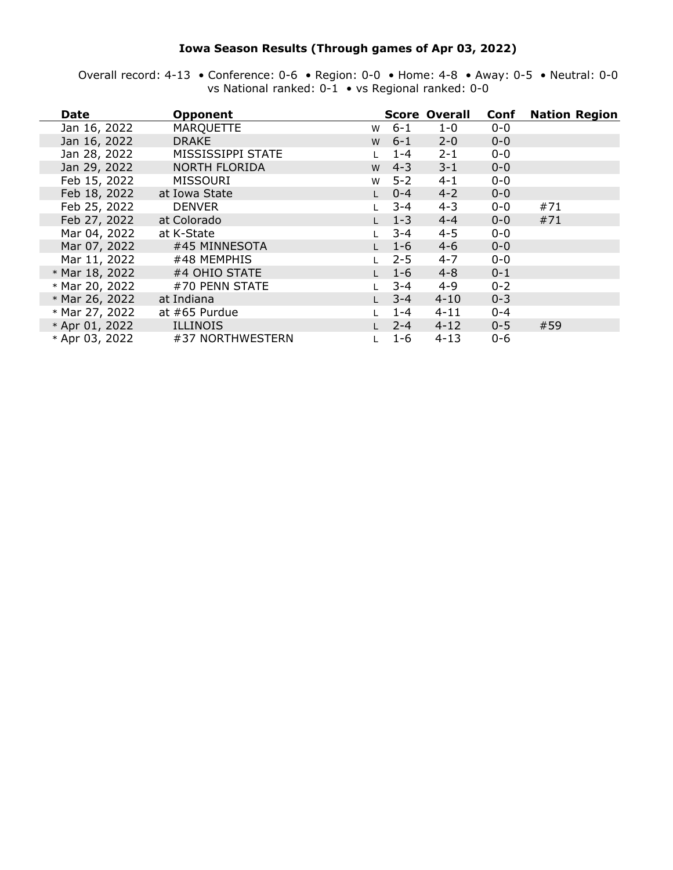### **Iowa Season Results (Through games of Apr 03, 2022)**

Overall record: 4-13 • Conference: 0-6 • Region: 0-0 • Home: 4-8 • Away: 0-5 • Neutral: 0-0 vs National ranked: 0-1 • vs Regional ranked: 0-0

| Date           | <b>Opponent</b>      |   |         | <b>Score Overall</b> | Conf    | <b>Nation Region</b> |
|----------------|----------------------|---|---------|----------------------|---------|----------------------|
| Jan 16, 2022   | <b>MARQUETTE</b>     | W | $6 - 1$ | $1 - 0$              | $0 - 0$ |                      |
| Jan 16, 2022   | <b>DRAKE</b>         | W | $6 - 1$ | $2 - 0$              | $0 - 0$ |                      |
| Jan 28, 2022   | MISSISSIPPI STATE    |   | $1 - 4$ | $2 - 1$              | $0 - 0$ |                      |
| Jan 29, 2022   | <b>NORTH FLORIDA</b> | W | $4 - 3$ | $3 - 1$              | $0 - 0$ |                      |
| Feb 15, 2022   | <b>MISSOURI</b>      | W | $5 - 2$ | $4 - 1$              | $0-0$   |                      |
| Feb 18, 2022   | at Iowa State        |   | $0 - 4$ | $4 - 2$              | $0-0$   |                      |
| Feb 25, 2022   | <b>DENVER</b>        |   | $3 - 4$ | $4 - 3$              | $0 - 0$ | #71                  |
| Feb 27, 2022   | at Colorado          |   | $1 - 3$ | $4 - 4$              | $0 - 0$ | #71                  |
| Mar 04, 2022   | at K-State           |   | $3 - 4$ | $4 - 5$              | $0 - 0$ |                      |
| Mar 07, 2022   | #45 MINNESOTA        |   | $1 - 6$ | $4 - 6$              | $0 - 0$ |                      |
| Mar 11, 2022   | #48 MEMPHIS          |   | $2 - 5$ | $4 - 7$              | $0 - 0$ |                      |
| * Mar 18, 2022 | #4 OHIO STATE        |   | $1 - 6$ | $4 - 8$              | $0 - 1$ |                      |
| * Mar 20, 2022 | #70 PENN STATE       |   | $3 - 4$ | $4 - 9$              | $0 - 2$ |                      |
| * Mar 26, 2022 | at Indiana           |   | $3 - 4$ | $4 - 10$             | $0 - 3$ |                      |
| * Mar 27, 2022 | at #65 Purdue        |   | $1 - 4$ | $4 - 11$             | $0 - 4$ |                      |
| * Apr 01, 2022 | ILLINOIS             |   | $2 - 4$ | $4 - 12$             | $0 - 5$ | #59                  |
| * Apr 03, 2022 | #37 NORTHWESTERN     |   | $1 - 6$ | $4 - 13$             | $0 - 6$ |                      |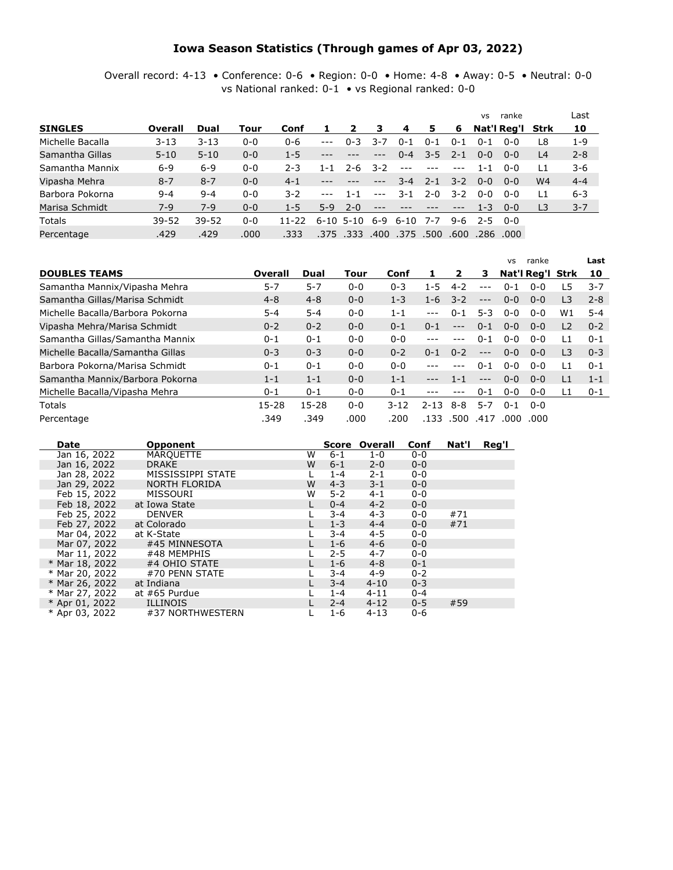#### **Iowa Season Statistics (Through games of Apr 03, 2022)**

Overall record: 4-13 • Conference: 0-6 • Region: 0-0 • Home: 4-8 • Away: 0-5 • Neutral: 0-0 vs National ranked: 0-1 • vs Regional ranked: 0-0

|                  |           |           |         |           |               |                 |         |          |         |         | <b>VS</b> | ranke            |                | Last    |
|------------------|-----------|-----------|---------|-----------|---------------|-----------------|---------|----------|---------|---------|-----------|------------------|----------------|---------|
| <b>SINGLES</b>   | Overall   | Dual      | Tour    | Conf      |               | 2               | 3       | 4        | 5       | -6      |           | Nat'l Reg'l Strk |                | 10      |
| Michelle Bacalla | $3 - 13$  | $3 - 13$  | $0 - 0$ | $0 - 6$   | $\frac{1}{2}$ | $0 - 3$         | 3-7     | $0 - 1$  | $0 - 1$ | $0 - 1$ | $0 - 1$   | $0 - 0$          | L8             | $1 - 9$ |
| Samantha Gillas  | $5 - 10$  | $5 - 10$  | $0 - 0$ | $1 - 5$   |               |                 | $---$   | $0 - 4$  | $3 - 5$ | $2 - 1$ | $0 - 0$   | $0 - 0$          | L4             | $2 - 8$ |
| Samantha Mannix  | $6 - 9$   | $6 - 9$   | $0 - 0$ | $2 - 3$   | 1-1           | $2 - 6$         | $3 - 2$ | $- - -$  |         |         | 1-1       | $0 - 0$          | L1             | $3 - 6$ |
| Vipasha Mehra    | $8 - 7$   | $8 - 7$   | $0 - 0$ | $4 - 1$   |               |                 | $---$   | $3 - 4$  | $2 - 1$ | $3 - 2$ | $0 - 0$   | $0 - 0$          | W4             | $4 - 4$ |
| Barbora Pokorna  | $9 - 4$   | $9 - 4$   | $0 - 0$ | $3 - 2$   | $- - -$       | $1 - 1$         | $---$   | $3 - 1$  | $2 - 0$ | $3 - 2$ | $0 - 0$   | $0 - 0$          | L1             | $6 - 3$ |
| Marisa Schmidt   | $7-9$     | $7-9$     | $0 - 0$ | $1 - 5$   | $5-9$         | $2 - 0$         |         |          |         |         | $1 - 3$   | $0 - 0$          | L <sub>3</sub> | $3 - 7$ |
| <b>Totals</b>    | $39 - 52$ | $39 - 52$ | $0 - 0$ | $11 - 22$ |               | $6 - 10$ 5 - 10 | 6-9     | 6-10     | 7-7     | 9-6     |           | $2 - 5$ 0-0      |                |         |
| Percentage       | .429      | .429      | .000    | .333      | .375          | .333            | .400    | .375.500 |         | .600    |           | .286 .000        |                |         |

|                                  |           |           |         |          |          |          |         | <b>VS</b> | ranke            |                | Last    |
|----------------------------------|-----------|-----------|---------|----------|----------|----------|---------|-----------|------------------|----------------|---------|
| <b>DOUBLES TEAMS</b>             | Overall   | Dual      | Tour    | Conf     |          |          | з       |           | Nat'l Reg'l Strk |                | 10      |
| Samantha Mannix/Vipasha Mehra    | $5 - 7$   | $5 - 7$   | $0 - 0$ | $0 - 3$  | 1-5      | $4 - 2$  | $---$   | $0 - 1$   | $0 - 0$          | L5             | $3 - 7$ |
| Samantha Gillas/Marisa Schmidt   | $4 - 8$   | $4 - 8$   | $0 - 0$ | $1 - 3$  | $1 - 6$  | $3 - 2$  | $---$   | $0 - 0$   | $0 - 0$          | L <sub>3</sub> | $2 - 8$ |
| Michelle Bacalla/Barbora Pokorna | $5 - 4$   | $5 - 4$   | $0 - 0$ | $1 - 1$  | $---$    | $0 - 1$  | $5 - 3$ | $0 - 0$   | $0 - 0$          | W1             | $5 - 4$ |
| Vipasha Mehra/Marisa Schmidt     | $0 - 2$   | $0 - 2$   | $0 - 0$ | $0 - 1$  | $0 - 1$  | ---      | $0 - 1$ | $0 - 0$   | $0 - 0$          | L <sub>2</sub> | $0 - 2$ |
| Samantha Gillas/Samantha Mannix  | $0 - 1$   | $0 - 1$   | $0 - 0$ | $0 - 0$  |          |          | $0 - 1$ | $0 - 0$   | $0 - 0$          | l 1            | $0 - 1$ |
| Michelle Bacalla/Samantha Gillas | $0 - 3$   | $0 - 3$   | $0 - 0$ | $0 - 2$  | $0 - 1$  | $0 - 2$  | $---$   | $0 - 0$   | $0 - 0$          | L <sub>3</sub> | $0 - 3$ |
| Barbora Pokorna/Marisa Schmidt   | $0 - 1$   | $0 - 1$   | $0 - 0$ | $0 - 0$  |          | $---$    | $0 - 1$ | $0 - 0$   | $0 - 0$          | l 1            | $0 - 1$ |
| Samantha Mannix/Barbora Pokorna  | $1 - 1$   | $1 - 1$   | $0 - 0$ | $1 - 1$  | $---$    | $1 - 1$  | $---$   | $0 - 0$   | $0 - 0$          | $\overline{1}$ | $1 - 1$ |
| Michelle Bacalla/Vipasha Mehra   | $0 - 1$   | $0 - 1$   | $0 - 0$ | $0 - 1$  |          |          | $0 - 1$ | $0-0$     | $0 - 0$          | l 1            | $0 - 1$ |
| Totals                           | $15 - 28$ | $15 - 28$ | $0 - 0$ | $3 - 12$ | $2 - 13$ | 8-8      | $5 - 7$ | $0 - 1$   | ი-ი              |                |         |
| Percentage                       | .349      | .349      | .000    | .200     |          | .133.500 | .417    | .000      | .000             |                |         |

| Date             | <b>Opponent</b>   |   |         | Score Overall | Conf    | Nat'l | Reg'l |
|------------------|-------------------|---|---------|---------------|---------|-------|-------|
| Jan 16, 2022     | <b>MARQUETTE</b>  | W | $6 - 1$ | $1-0$         | $0 - 0$ |       |       |
| Jan 16, 2022     | <b>DRAKE</b>      | W | $6 - 1$ | $2 - 0$       | $0 - 0$ |       |       |
| Jan 28, 2022     | MISSISSIPPI STATE |   | $1 - 4$ | $2 - 1$       | $0 - 0$ |       |       |
| Jan 29, 2022     | NORTH FLORIDA     | W | $4 - 3$ | $3 - 1$       | $0 - 0$ |       |       |
| Feb 15, 2022     | MISSOURI          | W | $5 - 2$ | $4 - 1$       | $0 - 0$ |       |       |
| Feb 18, 2022     | at Iowa State     |   | $0 - 4$ | $4 - 2$       | $0 - 0$ |       |       |
| Feb 25, 2022     | <b>DENVER</b>     |   | $3 - 4$ | $4 - 3$       | $0 - 0$ | #71   |       |
| Feb 27, 2022     | at Colorado       |   | $1 - 3$ | $4 - 4$       | $0 - 0$ | #71   |       |
| Mar 04, 2022     | at K-State        |   | $3 - 4$ | 4-5           | $0 - 0$ |       |       |
| Mar 07, 2022     | #45 MINNESOTA     |   | $1 - 6$ | $4 - 6$       | $0 - 0$ |       |       |
| Mar 11, 2022     | #48 MEMPHIS       |   | $2 - 5$ | $4 - 7$       | $0 - 0$ |       |       |
| * Mar 18, 2022   | #4 OHIO STATE     |   | $1 - 6$ | $4 - 8$       | $0 - 1$ |       |       |
| * Mar 20, 2022   | #70 PENN STATE    |   | $3 - 4$ | $4 - 9$       | $0 - 2$ |       |       |
| * Mar 26, 2022   | at Indiana        |   | $3 - 4$ | $4 - 10$      | $0 - 3$ |       |       |
| * Mar 27, 2022   | at #65 Purdue     |   | $1 - 4$ | $4 - 11$      | $0 - 4$ |       |       |
| $*$ Apr 01, 2022 | <b>ILLINOIS</b>   |   | $2 - 4$ | $4 - 12$      | $0 - 5$ | #59   |       |
| * Apr 03, 2022   | #37 NORTHWESTERN  |   | $1 - 6$ | $4 - 13$      | $0 - 6$ |       |       |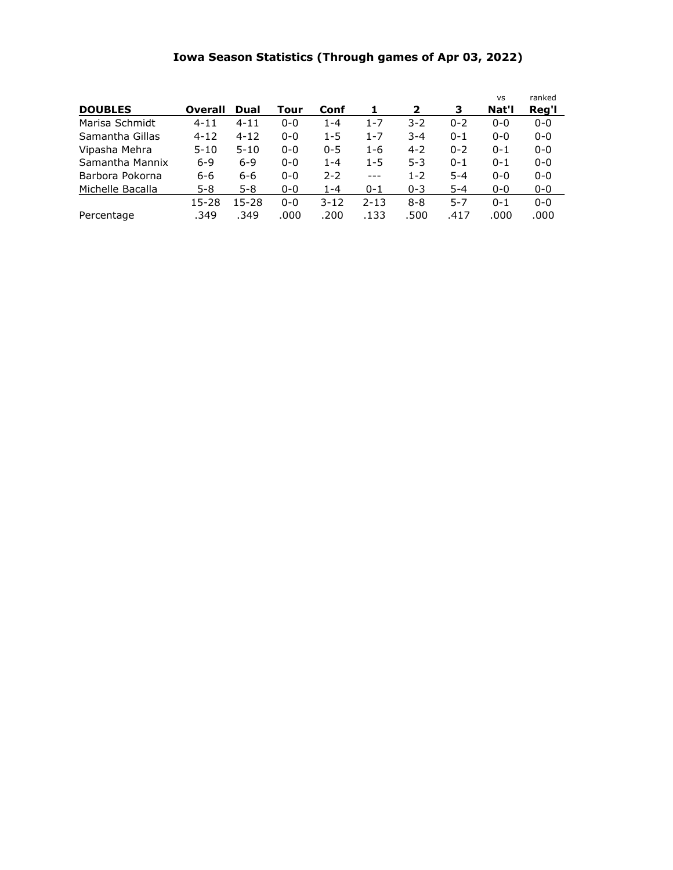# **Iowa Season Statistics (Through games of Apr 03, 2022)**

| <b>DOUBLES</b>   | Overall   | Dual      | Tour    | Conf     | 1        | 2       | 3       | <b>VS</b><br>Nat'l | ranked<br>Reg'l |
|------------------|-----------|-----------|---------|----------|----------|---------|---------|--------------------|-----------------|
| Marisa Schmidt   | $4 - 11$  | $4 - 11$  | $0 - 0$ | $1 - 4$  | $1 - 7$  | $3 - 2$ | $0 - 2$ | $0 - 0$            | $0 - 0$         |
| Samantha Gillas  | $4 - 12$  | $4 - 12$  | $0 - 0$ | $1 - 5$  | $1 - 7$  | $3 - 4$ | $0 - 1$ | $0 - 0$            | $0 - 0$         |
| Vipasha Mehra    | $5 - 10$  | $5 - 10$  | $0 - 0$ | $0 - 5$  | $1 - 6$  | $4 - 2$ | $0 - 2$ | $0 - 1$            | $0 - 0$         |
| Samantha Mannix  | $6 - 9$   | $6 - 9$   | $0 - 0$ | $1 - 4$  | $1 - 5$  | $5-3$   | $0 - 1$ | $0 - 1$            | $0 - 0$         |
| Barbora Pokorna  | 6-6       | 6-6       | $0 - 0$ | $2 - 2$  | $---$    | $1 - 2$ | $5 - 4$ | $0 - 0$            | $0 - 0$         |
| Michelle Bacalla | $5 - 8$   | $5 - 8$   | $0 - 0$ | $1 - 4$  | $0 - 1$  | $0 - 3$ | $5 - 4$ | $0 - 0$            | $0 - 0$         |
|                  | $15 - 28$ | $15 - 28$ | $0 - 0$ | $3 - 12$ | $2 - 13$ | $8 - 8$ | $5 - 7$ | $0 - 1$            | $0 - 0$         |
| Percentage       | .349      | .349      | .000    | .200     | .133     | .500    | .417    | .000               | .000            |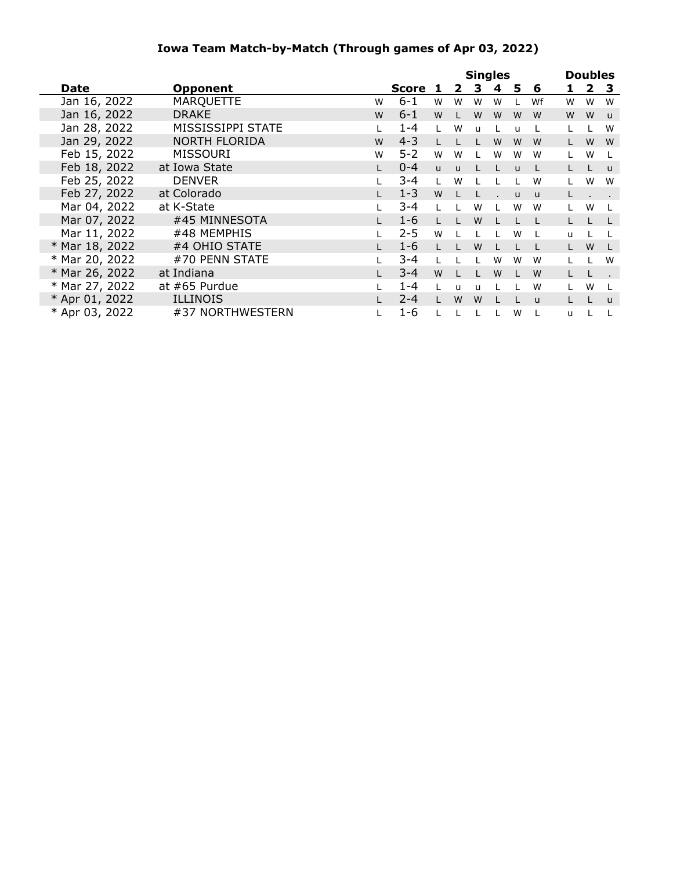## **Iowa Team Match-by-Match (Through games of Apr 03, 2022)**

|                |                      |   |              |              |              |              | <b>Singles</b> |              |              |              | <b>Doubles</b> |              |
|----------------|----------------------|---|--------------|--------------|--------------|--------------|----------------|--------------|--------------|--------------|----------------|--------------|
| <b>Date</b>    | <b>Opponent</b>      |   | <b>Score</b> | 1            | $\mathbf{z}$ | 3            | 4              | 5            | 6            | 1.           | $\mathbf{2}$   | -3           |
| Jan 16, 2022   | <b>MARQUETTE</b>     | W | $6 - 1$      | W            | W            | W            | W              |              | Wf           | W            | W              | W            |
| Jan 16, 2022   | <b>DRAKE</b>         | W | $6 - 1$      | W            |              | W            | W              | W            | W            | W            | W              | $\mathsf{u}$ |
| Jan 28, 2022   | MISSISSIPPI STATE    |   | $1 - 4$      |              | W            | u            |                | u            |              |              |                | W            |
| Jan 29, 2022   | <b>NORTH FLORIDA</b> | W | $4 - 3$      |              |              |              | W              | W            | W            |              | W              | W            |
| Feb 15, 2022   | <b>MISSOURI</b>      | W | $5 - 2$      | W            | W            |              | W              | W            | W            |              | W              |              |
| Feb 18, 2022   | at Iowa State        |   | $0 - 4$      | $\mathsf{u}$ | $\mathbf{u}$ |              |                | $\mathbf{U}$ |              |              |                | $\mathsf{u}$ |
| Feb 25, 2022   | <b>DENVER</b>        |   | 3-4          |              | W            |              |                |              | W            |              | W              | W            |
| Feb 27, 2022   | at Colorado          |   | $1 - 3$      | W            |              |              |                | $\mathsf{u}$ | <b>u</b>     |              |                |              |
| Mar 04, 2022   | at K-State           |   | $3 - 4$      |              |              | W            |                | W            | W            |              | W              |              |
| Mar 07, 2022   | #45 MINNESOTA        |   | $1 - 6$      |              |              | W            |                |              |              |              |                |              |
| Mar 11, 2022   | #48 MEMPHIS          |   | $2 - 5$      | W            |              |              |                | W            |              | $\mathbf{u}$ |                |              |
| * Mar 18, 2022 | #4 OHIO STATE        |   | $1 - 6$      |              |              | W            |                |              |              |              | W              |              |
| * Mar 20, 2022 | #70 PENN STATE       |   | $3 - 4$      |              |              |              | W              | W            | W            |              |                | W            |
| * Mar 26, 2022 | at Indiana           |   | $3 - 4$      | W            |              |              | W              |              | W            |              |                |              |
| * Mar 27, 2022 | at #65 Purdue        |   | $1 - 4$      |              | u            | $\mathbf{H}$ |                |              | W            |              | W              |              |
| * Apr 01, 2022 | <b>ILLINOIS</b>      |   | $2 - 4$      |              | W            | W            |                |              | $\mathsf{u}$ |              |                | $\mathbf{u}$ |
| * Apr 03, 2022 | #37 NORTHWESTERN     |   | $1 - 6$      |              |              |              |                | W            |              | u            |                |              |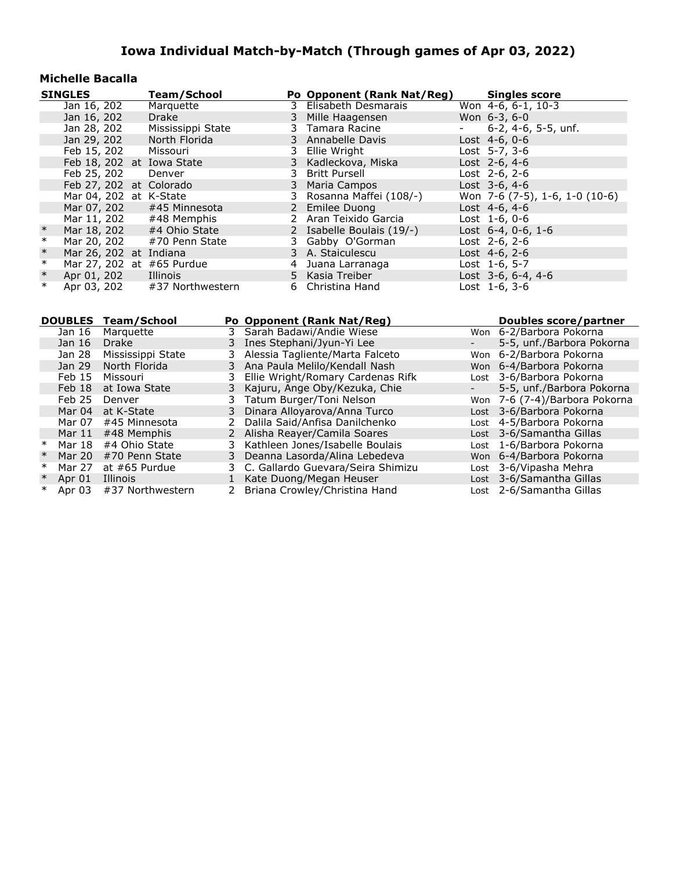#### **Michelle Bacalla**

|        | <b>SINGLES</b>            | Team/School                  |   | Po Opponent (Rank Nat/Reg) | <b>Singles score</b>           |
|--------|---------------------------|------------------------------|---|----------------------------|--------------------------------|
|        | Jan 16, 202               | Marquette                    |   | 3 Elisabeth Desmarais      | Won 4-6, 6-1, 10-3             |
|        | Jan 16, 202               | Drake                        |   | 3 Mille Haagensen          | Won $6-3, 6-0$                 |
|        | Jan 28, 202               | Mississippi State            |   | 3 Tamara Racine            | $-6-2, 4-6, 5-5, \text{unf.}$  |
|        | Jan 29, 202               | North Florida                |   | 3 Annabelle Davis          | Lost $4-6, 0-6$                |
|        | Feb 15, 202 Missouri      |                              |   | 3 Ellie Wright             | Lost $5-7, 3-6$                |
|        | Feb 18, 202 at Iowa State |                              |   | 3 Kadleckova, Miska        | Lost $2-6, 4-6$                |
|        | Feb 25, 202               | Denver                       |   | 3 Britt Pursell            | Lost $2-6$ , $2-6$             |
|        | Feb 27, 202 at Colorado   |                              |   | 3 Maria Campos             | Lost $3-6, 4-6$                |
|        | Mar 04, 202 at K-State    |                              |   | 3 Rosanna Maffei (108/-)   | Won 7-6 (7-5), 1-6, 1-0 (10-6) |
|        |                           | Mar 07, 202 #45 Minnesota    |   | 2 Emilee Duong             | Lost $4-6, 4-6$                |
|        |                           | Mar 11, 202 #48 Memphis      |   | 2 Aran Teixido Garcia      | Lost $1-6, 0-6$                |
| $\ast$ |                           | Mar 18, 202 #4 Ohio State    |   | 2 Isabelle Boulais (19/-)  | Lost $6-4$ , $0-6$ , $1-6$     |
| $\ast$ | Mar 20, 202               | #70 Penn State               |   | 3 Gabby O'Gorman           | Lost $2-6$ , $2-6$             |
| $\ast$ | Mar 26, 202 at Indiana    |                              |   | 3 A. Staiculescu           | Lost $4-6$ , $2-6$             |
| $\ast$ | Mar 27, 202 at #65 Purdue |                              | 4 | Juana Larranaga            | Lost 1-6, 5-7                  |
| $\ast$ | Apr 01, 202               | Illinois                     |   | 5 Kasia Treiber            | Lost 3-6, 6-4, 4-6             |
| $\ast$ |                           | Apr 03, 202 #37 Northwestern |   | 6 Christina Hand           | Lost $1-6, 3-6$                |

|        | <b>DOUBLES</b> | Team/School       |              | Po Opponent (Rank Nat/Reg)          | Doubles score/partner         |
|--------|----------------|-------------------|--------------|-------------------------------------|-------------------------------|
|        |                |                   |              |                                     |                               |
|        | Jan 16         | Marguette         | 3            | Sarah Badawi/Andie Wiese            | Won 6-2/Barbora Pokorna       |
|        | Jan 16         | <b>Drake</b>      | 3            | Ines Stephani/Jyun-Yi Lee           | 5-5, unf./Barbora Pokorna     |
|        | Jan 28         | Mississippi State |              | 3 Alessia Tagliente/Marta Falceto   | Won 6-2/Barbora Pokorna       |
|        | Jan 29         | North Florida     |              | 3 Ana Paula Melilo/Kendall Nash     | Won 6-4/Barbora Pokorna       |
|        | Feb 15         | Missouri          | 3.           | Ellie Wright/Romary Cardenas Rifk   | Lost 3-6/Barbora Pokorna      |
|        | Feb 18         | at Iowa State     | 3            | Kajuru, Ange Oby/Kezuka, Chie       | 5-5, unf./Barbora Pokorna     |
|        | <b>Feb 25</b>  | Denver            | 3            | Tatum Burger/Toni Nelson            | Won 7-6 (7-4)/Barbora Pokorna |
|        | Mar 04         | at K-State        | 3            | Dinara Alloyarova/Anna Turco        | Lost 3-6/Barbora Pokorna      |
|        | Mar 07         | #45 Minnesota     |              | Dalila Said/Anfisa Danilchenko      | Lost 4-5/Barbora Pokorna      |
|        | Mar 11         | #48 Memphis       | 2            | Alisha Reayer/Camila Soares         | Lost 3-6/Samantha Gillas      |
| $\ast$ | Mar 18         | #4 Ohio State     | 3.           | Kathleen Jones/Isabelle Boulais     | Lost 1-6/Barbora Pokorna      |
| $\ast$ | Mar 20         | #70 Penn State    | 3            | Deanna Lasorda/Alina Lebedeva       | Won 6-4/Barbora Pokorna       |
| $\ast$ | Mar 27         | at $#65$ Purdue   |              | 3 C. Gallardo Guevara/Seira Shimizu | Lost 3-6/Vipasha Mehra        |
| $\ast$ | Apr 01         | Illinois          | $\mathbf{1}$ | Kate Duong/Megan Heuser             | Lost 3-6/Samantha Gillas      |
| ∗      | Apr 03         | #37 Northwestern  |              | Briana Crowley/Christina Hand       | Lost 2-6/Samantha Gillas      |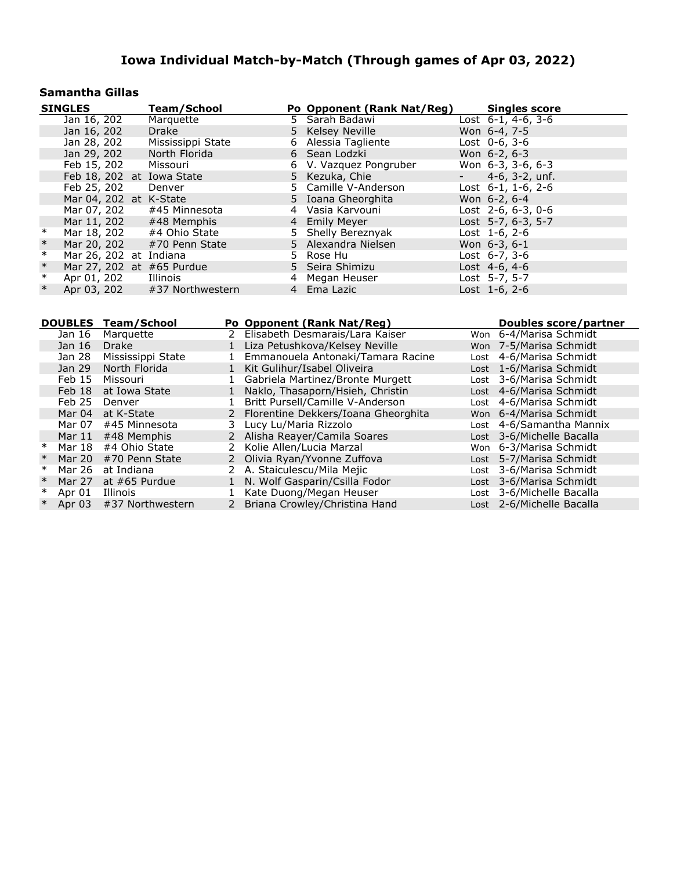## **Samantha Gillas**

|        | <b>SINGLES</b>            | Team/School                  | Po Opponent (Rank Nat/Reg) | <b>Singles score</b>       |
|--------|---------------------------|------------------------------|----------------------------|----------------------------|
|        | Jan 16, 202               | Marquette                    | 5 Sarah Badawi             | Lost $6-1$ , $4-6$ , $3-6$ |
|        | Jan 16, 202               | Drake                        | 5 Kelsey Neville           | Won 6-4, 7-5               |
|        | Jan 28, 202               | Mississippi State            | 6 Alessia Tagliente        | Lost $0-6, 3-6$            |
|        | Jan 29, 202               | North Florida                | 6 Sean Lodzki              | Won 6-2, 6-3               |
|        | Feb 15, 202               | Missouri                     | 6 V. Vazquez Pongruber     | Won 6-3, 3-6, 6-3          |
|        | Feb 18, 202 at Iowa State |                              | 5 Kezuka, Chie             | $-4-6, 3-2, \text{unf.}$   |
|        | Feb 25, 202               | Denver                       | 5 Camille V-Anderson       | Lost $6-1$ , $1-6$ , $2-6$ |
|        | Mar 04, 202 at K-State    |                              | 5 Ioana Gheorghita         | Won 6-2, 6-4               |
|        |                           | Mar 07, 202 #45 Minnesota    | 4 Vasia Karvouni           | Lost $2-6, 6-3, 0-6$       |
|        | Mar 11, 202               | #48 Memphis                  | 4 Emily Meyer              | Lost 5-7, 6-3, 5-7         |
| $\ast$ | Mar 18, 202               | #4 Ohio State                | 5 Shelly Bereznyak         | Lost $1-6, 2-6$            |
| $\ast$ |                           | Mar 20, 202 #70 Penn State   | 5 Alexandra Nielsen        | Won 6-3, 6-1               |
| $\ast$ | Mar 26, 202 at Indiana    |                              | 5 Rose Hu                  | Lost $6-7, 3-6$            |
| $\ast$ | Mar 27, 202 at #65 Purdue |                              | 5 Seira Shimizu            | Lost 4-6, 4-6              |
| $\ast$ | Apr 01, 202               | Illinois                     | 4 Megan Heuser             | Lost 5-7, 5-7              |
| $\ast$ |                           | Apr 03, 202 #37 Northwestern | 4 Ema Lazic                | Lost 1-6, 2-6              |

|        | <b>DOUBLES</b> | Team/School       |               | Po Opponent (Rank Nat/Reg)            | Doubles score/partner     |
|--------|----------------|-------------------|---------------|---------------------------------------|---------------------------|
|        | Jan 16         |                   | $\mathcal{P}$ |                                       |                           |
|        |                | Marquette         |               | Elisabeth Desmarais/Lara Kaiser       | Won 6-4/Marisa Schmidt    |
|        | Jan 16         | <b>Drake</b>      |               | 1 Liza Petushkova/Kelsey Neville      | Won 7-5/Marisa Schmidt    |
|        | Jan 28         | Mississippi State |               | Emmanouela Antonaki/Tamara Racine     | Lost 4-6/Marisa Schmidt   |
|        | Jan 29         | North Florida     |               | Kit Gulihur/Isabel Oliveira           | Lost 1-6/Marisa Schmidt   |
|        | Feb 15         | Missouri          |               | Gabriela Martinez/Bronte Murgett      | Lost 3-6/Marisa Schmidt   |
|        | Feb 18         | at Iowa State     |               | Naklo, Thasaporn/Hsieh, Christin      | Lost 4-6/Marisa Schmidt   |
|        | Feb 25         | Denver            |               | Britt Pursell/Camille V-Anderson      | Lost 4-6/Marisa Schmidt   |
|        | Mar 04         | at K-State        |               | 2 Florentine Dekkers/Ioana Gheorghita | Won 6-4/Marisa Schmidt    |
|        | Mar 07         | #45 Minnesota     | 3             | Lucy Lu/Maria Rizzolo                 | Lost 4-6/Samantha Mannix  |
|        | Mar $11$       | #48 Memphis       |               | 2 Alisha Reayer/Camila Soares         | Lost 3-6/Michelle Bacalla |
| ∗      | Mar 18         | #4 Ohio State     | 2             | Kolie Allen/Lucia Marzal              | Won 6-3/Marisa Schmidt    |
| $\ast$ | Mar 20         | #70 Penn State    |               | 2 Olivia Ryan/Yvonne Zuffova          | Lost 5-7/Marisa Schmidt   |
| ∗      | Mar 26         | at Indiana        |               | 2 A. Staiculescu/Mila Mejic           | Lost 3-6/Marisa Schmidt   |
| $\ast$ | Mar 27         | at $#65$ Purdue   |               | N. Wolf Gasparin/Csilla Fodor         | Lost 3-6/Marisa Schmidt   |
| $\ast$ | Apr 01         | Illinois          |               | Kate Duong/Megan Heuser               | Lost 3-6/Michelle Bacalla |
| $\ast$ | Apr 03         | #37 Northwestern  | $\mathcal{P}$ | Briana Crowley/Christina Hand         | Lost 2-6/Michelle Bacalla |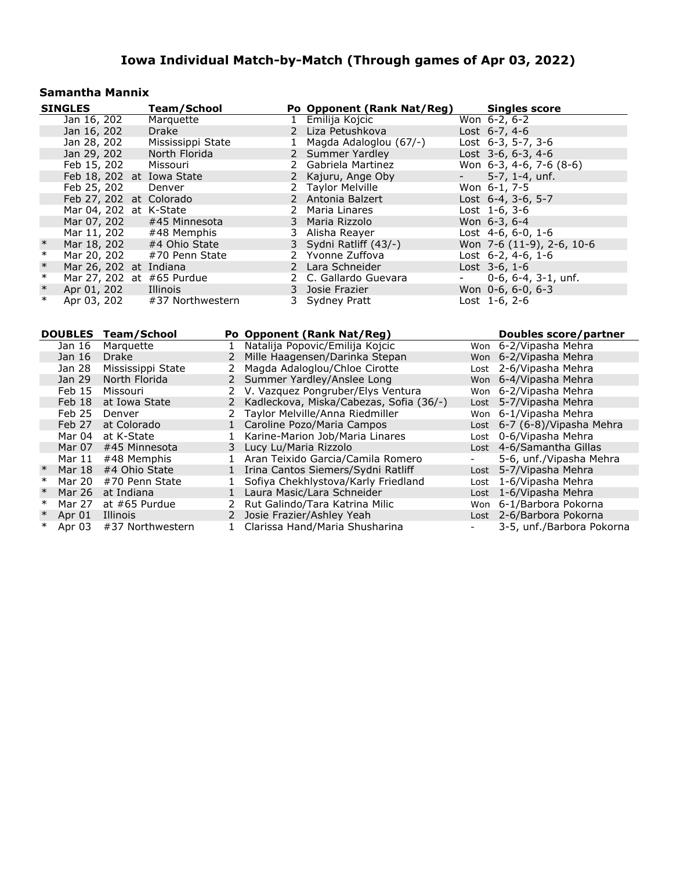#### **Samantha Mannix**

| <b>SINGLES</b> |                   |               | <b>Team/School</b>         |              |                         | Po Opponent (Rank Nat/Reg)              |              | <b>Singles score</b>              |
|----------------|-------------------|---------------|----------------------------|--------------|-------------------------|-----------------------------------------|--------------|-----------------------------------|
|                | Jan 16, 202       |               | Marquette                  |              |                         | 1 Emilija Kojcic                        |              | Won $6-2, 6-2$                    |
|                | Jan 16, 202       |               | Drake                      |              |                         | 2 Liza Petushkova                       |              | Lost 6-7, 4-6                     |
|                | Jan 28, 202       |               | Mississippi State          |              | 1                       | Magda Adaloglou (67/-)                  |              | Lost 6-3, 5-7, 3-6                |
|                | Jan 29, 202       |               | North Florida              |              |                         | 2 Summer Yardley                        |              | Lost $3-6, 6-3, 4-6$              |
|                | Feb 15, 202       |               | Missouri                   |              |                         | 2 Gabriela Martinez                     |              | Won $6-3$ , $4-6$ , $7-6$ $(8-6)$ |
|                |                   |               | Feb 18, 202 at Iowa State  |              |                         | 2 Kajuru, Ange Oby                      |              | $5-7$ , 1-4, unf.                 |
|                | Feb 25, 202       |               | Denver                     |              | 2                       | <b>Taylor Melville</b>                  |              | Won 6-1, 7-5                      |
|                |                   |               | Feb 27, 202 at Colorado    |              |                         | 2 Antonia Balzert                       |              | Lost 6-4, 3-6, 5-7                |
|                |                   |               | Mar 04, 202 at K-State     |              | 2                       | Maria Linares                           |              | Lost $1-6, 3-6$                   |
|                | Mar 07, 202       |               | #45 Minnesota              |              |                         | 3 Maria Rizzolo                         |              | Won 6-3, 6-4                      |
|                | Mar 11, 202       |               | #48 Memphis                |              |                         | 3 Alisha Reayer                         |              | Lost $4-6, 6-0, 1-6$              |
| $\ast$         | Mar 18, 202       |               | #4 Ohio State              |              |                         | 3 Sydni Ratliff (43/-)                  |              | Won 7-6 (11-9), 2-6, 10-6         |
| $\ast$         | Mar 20, 202       |               | #70 Penn State             |              |                         | 2 Yvonne Zuffova                        |              | Lost $6-2$ , $4-6$ , $1-6$        |
| $\ast$         |                   |               | Mar 26, 202 at Indiana     |              |                         | 2 Lara Schneider                        |              | Lost $3-6, 1-6$                   |
| $\ast$         |                   |               | Mar 27, 202 at #65 Purdue  |              |                         | 2 C. Gallardo Guevara                   |              | $0-6, 6-4, 3-1, \text{unf.}$      |
| $\ast$         | Apr 01, 202       |               | Illinois                   |              |                         | 3 Josie Frazier                         |              | Won 0-6, 6-0, 6-3                 |
| $\ast$         | Apr 03, 202       |               | #37 Northwestern           |              |                         | 3 Sydney Pratt                          |              | Lost 1-6, 2-6                     |
|                |                   |               |                            |              |                         |                                         |              |                                   |
|                |                   |               |                            |              |                         |                                         |              |                                   |
|                |                   |               | <b>DOUBLES Team/School</b> |              |                         | Po Opponent (Rank Nat/Reg)              |              | <b>Doubles score/partner</b>      |
|                | Jan 16            | Marquette     |                            | $\mathbf{1}$ |                         | Natalija Popovic/Emilija Kojcic         |              | Won 6-2/Vipasha Mehra             |
|                | Jan 16            | <b>Drake</b>  |                            | 2            |                         | Mille Haagensen/Darinka Stepan          |              | Won 6-2/Vipasha Mehra             |
|                | Jan 28            |               | Mississippi State          | 2            |                         | Magda Adaloglou/Chloe Cirotte           |              | Lost 2-6/Vipasha Mehra            |
|                | Jan 29            | North Florida |                            | $2^{\circ}$  |                         | Summer Yardley/Anslee Long              |              | Won 6-4/Vipasha Mehra             |
|                | Feb 15            | Missouri      |                            |              |                         | 2 V. Vazquez Pongruber/Elys Ventura     |              | Won 6-2/Vipasha Mehra             |
|                | Feb 18            |               | at Iowa State              | $\mathbf{2}$ |                         | Kadleckova, Miska/Cabezas, Sofia (36/-) |              | Lost 5-7/Vipasha Mehra            |
|                | Feb 25            | Denver        |                            |              |                         | Taylor Melville/Anna Riedmiller         |              | Won 6-1/Vipasha Mehra             |
|                | Feb 27            | at Colorado   |                            |              |                         | 1 Caroline Pozo/Maria Campos            |              | Lost 6-7 (6-8)/Vipasha Mehra      |
|                | Mar 04 at K-State |               |                            | $\mathbf{1}$ |                         | Karine-Marion Job/Maria Linares         |              | Lost 0-6/Vipasha Mehra            |
|                | Mar 07            |               | #45 Minnesota              |              | 3 Lucy Lu/Maria Rizzolo |                                         |              | Lost 4-6/Samantha Gillas          |
|                | Mar 11            |               | #48 Memphis                |              |                         | 1 Aran Teixido Garcia/Camila Romero     | $\mathbf{r}$ | 5-6, unf./Vipasha Mehra           |

Mar 11 #48 Memphis 1 Aran Teixido Garcia/Camila Romero - 5-6, unf./Vipasha M<br>Mar 18 #4 Ohio State 1 Irina Cantos Siemers/Sydni Ratliff - Lost 5-7/Vipasha Mehra

\* Mar 20 #70 Penn State 1 Sofiya Chekhlystova/Karly Friedland Lost 1-6/Vipasha Mehra<br>\* Mar 26 at Indiana 1 Laura Masic/Lara Schneider 1 Lost 1-6/Vipasha Mehra<br>\* Mar 27 at #65 Purdue 2 Rut Galindo/Tara Katrina Milic 1 Won 6

\* Apr 01 Illinois 2 Josie Frazier/Ashley Yeah Lost 2-6/Barbora Pokorna<br>\* Apr 03 #37 Northwestern 1 Clarissa Hand/Maria Shusharina 1 - 3-5, unf./Barbora Pokorna 1 Clarissa Hand/Maria Shusharina - 3-5, 2014

% Mar 18 #4 Ohio State 1 Irina Cantos Siemers/Sydni Ratliff Mar 20 #70 Penn State 1 Sofiya Chekhlystova/Karly Friedlan \* Mar 20 #70 Penn State 1 Sofiya Chekhlystova/Karly Friedland <br>
1 Laura Masic/Lara Schneider

\* Mar 27 at #65 Purdue 2 Rut Galindo/Tara Katrina Milic<br>\* Apr 01 Illinois 2 Josie Frazier/Ashley Yeah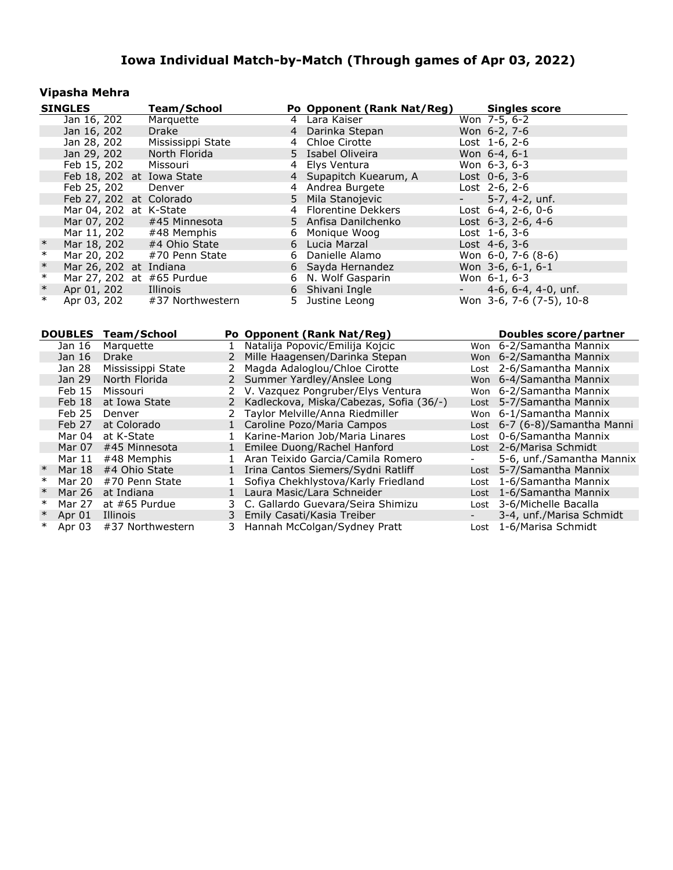#### **Vipasha Mehra**

|                  | <b>SINGLES</b>        |                             | <b>Team/School</b>        |              |                  | Po Opponent (Rank Nat/Reg)                                        |            | <b>Singles score</b>                                  |
|------------------|-----------------------|-----------------------------|---------------------------|--------------|------------------|-------------------------------------------------------------------|------------|-------------------------------------------------------|
|                  | Jan 16, 202           |                             | Marquette                 |              |                  | 4 Lara Kaiser                                                     |            | Won 7-5, 6-2                                          |
|                  | Jan 16, 202           |                             | <b>Drake</b>              |              | 4                | Darinka Stepan                                                    |            | Won 6-2, 7-6                                          |
|                  | Jan 28, 202           |                             | Mississippi State         |              | 4                | Chloe Cirotte                                                     |            | Lost 1-6, 2-6                                         |
|                  | Jan 29, 202           |                             | North Florida             |              |                  | 5 Isabel Oliveira                                                 |            | Won 6-4, 6-1                                          |
|                  | Feb 15, 202           |                             | Missouri                  |              | 4                | Elys Ventura                                                      |            | Won $6-3, 6-3$                                        |
|                  |                       |                             | Feb 18, 202 at Iowa State |              | $\overline{4}$   | Supapitch Kuearum, A                                              |            | Lost 0-6, 3-6                                         |
|                  | Feb 25, 202           |                             | Denver                    |              | $4 \overline{ }$ | Andrea Burgete                                                    |            | Lost 2-6, 2-6                                         |
|                  |                       |                             | Feb 27, 202 at Colorado   |              | 5                | Mila Stanojevic                                                   | $\sim 100$ | 5-7, 4-2, unf.                                        |
|                  |                       |                             | Mar 04, 202 at K-State    |              |                  | 4 Florentine Dekkers                                              |            | Lost $6-4$ , $2-6$ , $0-6$                            |
|                  | Mar 07, 202           |                             | #45 Minnesota             |              |                  | 5 Anfisa Danilchenko                                              |            | Lost 6-3, 2-6, 4-6                                    |
|                  | Mar 11, 202           |                             | #48 Memphis               |              | 6                | Monique Woog                                                      |            | Lost 1-6, 3-6                                         |
| $\ast$           | Mar 18, 202           |                             | #4 Ohio State             |              | 6                | Lucia Marzal                                                      |            | Lost 4-6, 3-6                                         |
| $\ast$           | Mar 20, 202           |                             | #70 Penn State            |              | 6                | Danielle Alamo                                                    |            | Won 6-0, 7-6 (8-6)                                    |
| $\ast$           |                       |                             | Mar 26, 202 at Indiana    |              | 6                | Sayda Hernandez                                                   |            | Won $3-6, 6-1, 6-1$                                   |
| $\ast$           |                       |                             | Mar 27, 202 at #65 Purdue |              | 6                | N. Wolf Gasparin                                                  |            | Won 6-1, 6-3                                          |
| $\ast$           | Apr 01, 202           |                             | Illinois                  |              | 6                | Shivani Ingle                                                     |            | 4-6, $6-4$ , $4-0$ , unf.                             |
| $\ast$           | Apr 03, 202           |                             | #37 Northwestern          |              | 5.               | Justine Leong                                                     |            | Won 3-6, 7-6 (7-5), 10-8                              |
|                  |                       |                             |                           |              |                  |                                                                   |            |                                                       |
|                  |                       |                             |                           |              |                  |                                                                   |            |                                                       |
|                  |                       |                             |                           |              |                  |                                                                   |            |                                                       |
|                  | <b>DOUBLES</b>        | <b>Team/School</b>          |                           |              |                  | Po Opponent (Rank Nat/Reg)                                        |            | <b>Doubles score/partner</b>                          |
|                  | Jan 16                | Marquette                   |                           | $\mathbf{1}$ |                  | Natalija Popovic/Emilija Kojcic                                   |            | Won 6-2/Samantha Mannix                               |
|                  | Jan 16                | <b>Drake</b>                |                           | $\mathbf{2}$ |                  | Mille Haagensen/Darinka Stepan                                    |            | Won 6-2/Samantha Mannix                               |
|                  | Jan 28                |                             | Mississippi State         | 2            |                  | Magda Adaloglou/Chloe Cirotte                                     |            | Lost 2-6/Samantha Mannix                              |
|                  | Jan 29                | North Florida               |                           | $2^{\circ}$  |                  | Summer Yardley/Anslee Long                                        |            | Won 6-4/Samantha Mannix                               |
|                  | Feb 15                | Missouri                    |                           | $\mathbf{2}$ |                  | V. Vazquez Pongruber/Elys Ventura                                 |            | Won 6-2/Samantha Mannix                               |
|                  | Feb 18                | at Iowa State               |                           | $2^{\circ}$  |                  | Kadleckova, Miska/Cabezas, Sofia (36/-)                           |            | Lost 5-7/Samantha Mannix                              |
|                  | Feb 25                | Denver                      |                           | $\mathbf{2}$ |                  | Taylor Melville/Anna Riedmiller                                   |            | Won 6-1/Samantha Mannix                               |
|                  | Feb 27                | at Colorado                 |                           |              |                  | 1 Caroline Pozo/Maria Campos                                      |            | Lost 6-7 (6-8)/Samantha Manni                         |
|                  | Mar 04                | at K-State                  |                           | 1            |                  | Karine-Marion Job/Maria Linares                                   |            | Lost 0-6/Samantha Mannix                              |
|                  | Mar 07                | #45 Minnesota               |                           | 1            |                  | Emilee Duong/Rachel Hanford                                       |            | Lost 2-6/Marisa Schmidt                               |
|                  | Mar $11$              | #48 Memphis                 |                           | $\mathbf{1}$ |                  | Aran Teixido Garcia/Camila Romero                                 |            | 5-6, unf./Samantha Mannix                             |
| $\ast$           | Mar 18 #4 Ohio State  |                             |                           |              |                  | 1 Irina Cantos Siemers/Sydni Ratliff                              |            | Lost 5-7/Samantha Mannix                              |
| $\ast$           | Mar 20 #70 Penn State |                             |                           | $\mathbf{1}$ |                  | Sofiya Chekhlystova/Karly Friedland                               |            | Lost 1-6/Samantha Mannix                              |
| $\ast$<br>$\ast$ | Mar 26<br>Mar 27      | at Indiana<br>at #65 Purdue |                           | 1            |                  | Laura Masic/Lara Schneider<br>3 C. Gallardo Guevara/Seira Shimizu |            | Lost 1-6/Samantha Mannix<br>Lost 3-6/Michelle Bacalla |

\* Mar 20 #70 Penn State 1 Sofiya Chekhlystova/Karly Friedland Lost 1-6/Samantha Mannix \* Mar 26 at Indiana 1 Laura Masic/Lara Schneider Lost 1-6/Samantha Mannix \* Mar 27 at #65 Purdue 3 C. Gallardo Guevara/Seira Shimizu Lost 3-6/Michelle Bacalla

\* Apr 01 Illinois 3 Emily Casati/Kasia Treiber - 3-4, unf./Marisa Schwidt<br>\* Apr 03 #37 Northwestern 3 Hannah McColgan/Sydney Pratt - Lost 1-6/Marisa Schmidt 3 Hannah McColgan/Sydney Pratt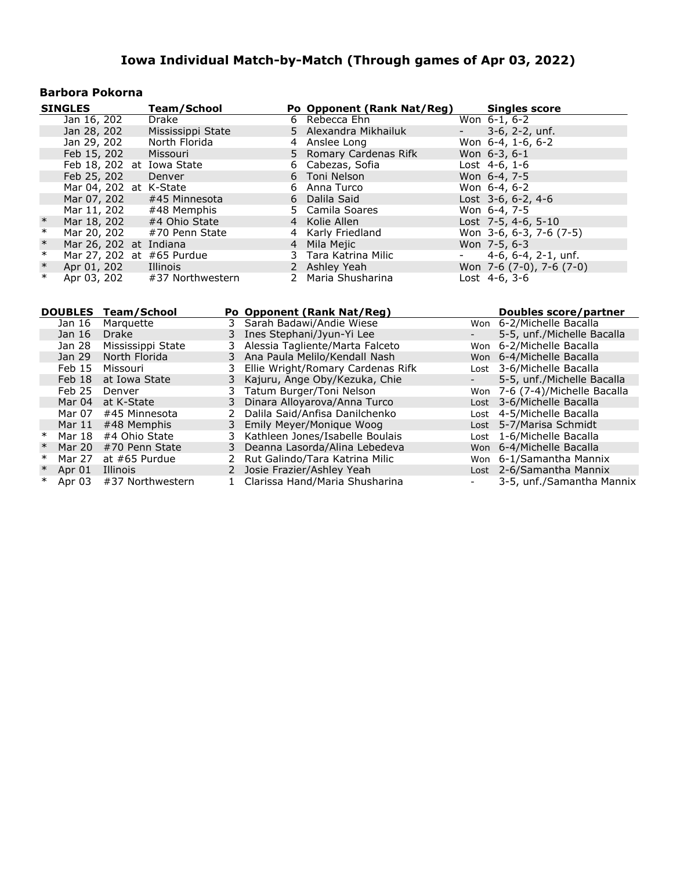#### **Barbora Pokorna**

|        | <b>SINGLES</b>            | Team/School                  | Po Opponent (Rank Nat/Reg) |                     | <b>Singles score</b>          |
|--------|---------------------------|------------------------------|----------------------------|---------------------|-------------------------------|
|        | Jan 16, 202               | Drake                        | 6 Rebecca Ehn              |                     | Won 6-1, 6-2                  |
|        | Jan 28, 202               | Mississippi State            | 5 Alexandra Mikhailuk      | $\sigma_{\rm{max}}$ | $3-6$ , $2-2$ , unf.          |
|        | Jan 29, 202               | North Florida                | 4 Anslee Long              |                     | Won 6-4, 1-6, 6-2             |
|        | Feb 15, 202               | Missouri                     | 5 Romary Cardenas Rifk     |                     | Won 6-3, 6-1                  |
|        | Feb 18, 202 at Iowa State |                              | 6 Cabezas, Sofia           |                     | Lost $4-6, 1-6$               |
|        | Feb 25, 202               | Denver                       | 6 Toni Nelson              |                     | Won 6-4, 7-5                  |
|        | Mar 04, 202 at K-State    |                              | 6 Anna Turco               |                     | Won $6-4, 6-2$                |
|        |                           | Mar 07, 202 #45 Minnesota    | 6 Dalila Said              |                     | Lost $3-6, 6-2, 4-6$          |
|        | Mar 11, 202               | #48 Memphis                  | 5 Camila Soares            |                     | Won 6-4, 7-5                  |
| $\ast$ | Mar 18, 202               | #4 Ohio State                | 4 Kolie Allen              |                     | Lost 7-5, 4-6, 5-10           |
| $\ast$ | Mar 20, 202               | #70 Penn State               | 4 Karly Friedland          |                     | Won 3-6, 6-3, 7-6 (7-5)       |
| $\ast$ | Mar 26, 202 at Indiana    |                              | 4 Mila Mejic               |                     | Won 7-5, 6-3                  |
| $\ast$ | Mar 27, 202 at #65 Purdue |                              | 3 Tara Katrina Milic       |                     | $-4-6, 6-4, 2-1, \text{unf.}$ |
| $\ast$ | Apr 01, 202               | Illinois                     | 2 Ashley Yeah              |                     | Won 7-6 (7-0), 7-6 (7-0)      |
| $\ast$ |                           | Apr 03, 202 #37 Northwestern | 2 Maria Shusharina         |                     | Lost 4-6, 3-6                 |

|        |                   | DOUBLES Team/School |   | Po Opponent (Rank Nat/Reg)        |                          | Doubles score/partner          |
|--------|-------------------|---------------------|---|-----------------------------------|--------------------------|--------------------------------|
|        | Jan 16            | Marquette           | 3 | Sarah Badawi/Andie Wiese          |                          | Won 6-2/Michelle Bacalla       |
|        | Jan 16            | <b>Drake</b>        |   | 3 Ines Stephani/Jyun-Yi Lee       |                          | 5-5, unf./Michelle Bacalla     |
|        | Jan 28            | Mississippi State   |   | 3 Alessia Tagliente/Marta Falceto |                          | Won 6-2/Michelle Bacalla       |
|        | Jan 29            | North Florida       |   | 3 Ana Paula Melilo/Kendall Nash   |                          | Won 6-4/Michelle Bacalla       |
|        | Feb <sub>15</sub> | Missouri            |   | Ellie Wright/Romary Cardenas Rifk |                          | Lost 3-6/Michelle Bacalla      |
|        | Feb 18            | at Iowa State       |   | 3 Kajuru, Ange Oby/Kezuka, Chie   |                          | 5-5, unf./Michelle Bacalla     |
|        | Feb 25            | Denver              |   | 3 Tatum Burger/Toni Nelson        |                          | Won 7-6 (7-4)/Michelle Bacalla |
|        | Mar 04            | at K-State          |   | 3 Dinara Alloyarova/Anna Turco    |                          | Lost 3-6/Michelle Bacalla      |
|        | Mar 07            | #45 Minnesota       | 2 | Dalila Said/Anfisa Danilchenko    |                          | Lost 4-5/Michelle Bacalla      |
|        | Mar $11$          | #48 Memphis         |   | 3 Emily Meyer/Monique Woog        |                          | Lost 5-7/Marisa Schmidt        |
| $\ast$ | Mar 18            | #4 Ohio State       |   | 3 Kathleen Jones/Isabelle Boulais |                          | Lost 1-6/Michelle Bacalla      |
| $\ast$ | Mar 20            | #70 Penn State      |   | 3 Deanna Lasorda/Alina Lebedeva   |                          | Won 6-4/Michelle Bacalla       |
| $\ast$ | Mar 27            | at #65 Purdue       |   | 2 Rut Galindo/Tara Katrina Milic  |                          | Won 6-1/Samantha Mannix        |
| $\ast$ | Apr 01            | <b>Illinois</b>     |   | 2 Josie Frazier/Ashley Yeah       |                          | Lost 2-6/Samantha Mannix       |
| ∗      | Apr 03            | #37 Northwestern    |   | Clarissa Hand/Maria Shusharina    | $\overline{\phantom{a}}$ | 3-5, unf./Samantha Mannix      |